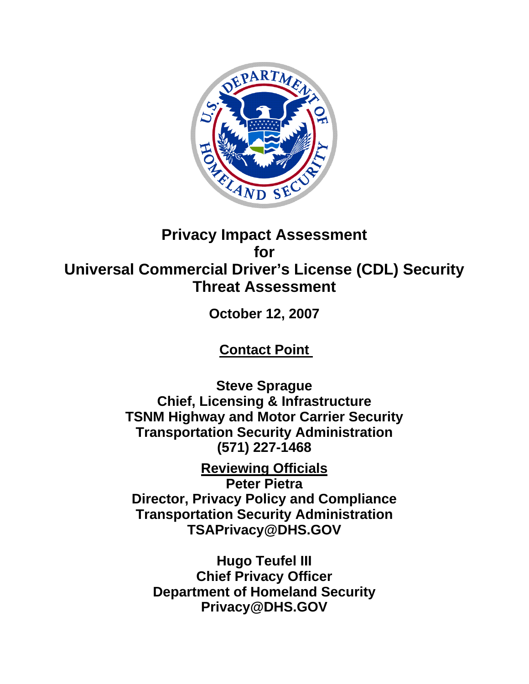

# **Privacy Impact Assessment for Universal Commercial Driver's License (CDL) Security Threat Assessment**

**October 12, 2007** 

**Contact Point** 

**Steve Sprague Chief, Licensing & Infrastructure TSNM Highway and Motor Carrier Security Transportation Security Administration (571) 227-1468** 

**Reviewing Officials Peter Pietra Director, Privacy Policy and Compliance Transportation Security Administration TSAPrivacy@DHS.GOV** 

**Hugo Teufel III Chief Privacy Officer Department of Homeland Security Privacy@DHS.GOV**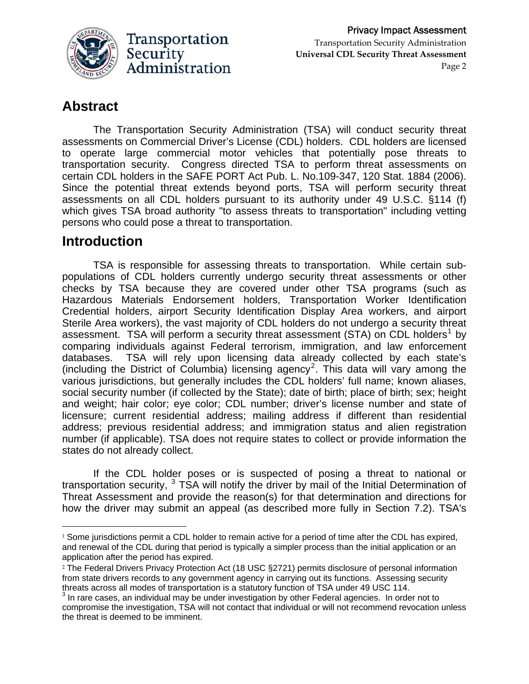

# **Abstract**

The Transportation Security Administration (TSA) will conduct security threat assessments on Commercial Driver's License (CDL) holders. CDL holders are licensed to operate large commercial motor vehicles that potentially pose threats to transportation security. Congress directed TSA to perform threat assessments on certain CDL holders in the SAFE PORT Act Pub. L. No.109-347, 120 Stat. 1884 (2006). Since the potential threat extends beyond ports, TSA will perform security threat assessments on all CDL holders pursuant to its authority under 49 U.S.C. §114 (f) which gives TSA broad authority "to assess threats to transportation" including vetting persons who could pose a threat to transportation.

# **Introduction**

TSA is responsible for assessing threats to transportation. While certain subpopulations of CDL holders currently undergo security threat assessments or other checks by TSA because they are covered under other TSA programs (such as Hazardous Materials Endorsement holders, Transportation Worker Identification Credential holders, airport Security Identification Display Area workers, and airport Sterile Area workers), the vast majority of CDL holders do not undergo a security threat assessment. TSA will perform a security threat assessment (STA) on CDL holders<sup>[1](#page-1-0)</sup> by comparing individuals against Federal terrorism, immigration, and law enforcement databases. TSA will rely upon licensing data already collected by each state's (including the District of Columbia) licensing agency<sup>[2](#page-1-1)</sup>. This data will vary among the various jurisdictions, but generally includes the CDL holders' full name; known aliases, social security number (if collected by the State); date of birth; place of birth; sex; height and weight; hair color; eye color; CDL number; driver's license number and state of licensure; current residential address; mailing address if different than residential address; previous residential address; and immigration status and alien registration number (if applicable). TSA does not require states to collect or provide information the states do not already collect.

If the CDL holder poses or is suspected of posing a threat to national or transportation security,  $3$  TSA will notify the driver by mail of the Initial Determination of Threat Assessment and provide the reason(s) for that determination and directions for how the driver may submit an appeal (as described more fully in Section 7.2). TSA's

<span id="page-1-0"></span><sup>&</sup>lt;sup>1</sup> Some jurisdictions permit a CDL holder to remain active for a period of time after the CDL has expired, and renewal of the CDL during that period is typically a simpler process than the initial application or an application after the period has expired.

<span id="page-1-1"></span><sup>2</sup> The Federal Drivers Privacy Protection Act (18 USC §2721) permits disclosure of personal information from state drivers records to any government agency in carrying out its functions. Assessing security threats across all modes of transportation is a statutory function of TSA under 49 USC 114. 3

<span id="page-1-2"></span> $3$  In rare cases, an individual may be under investigation by other Federal agencies. In order not to compromise the investigation, TSA will not contact that individual or will not recommend revocation unless the threat is deemed to be imminent.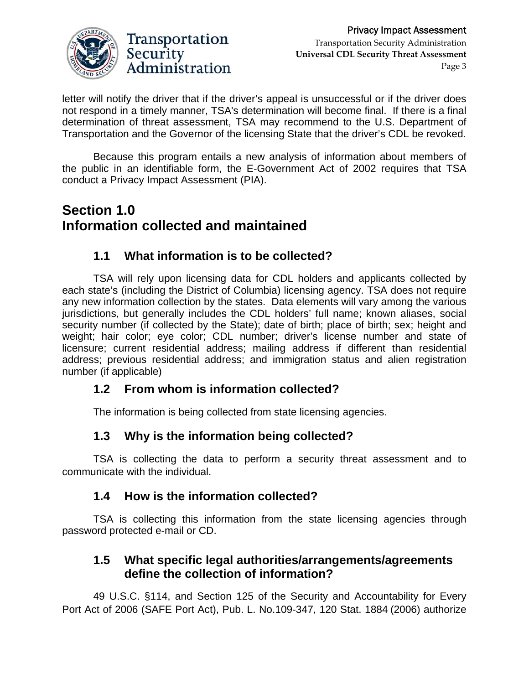

letter will notify the driver that if the driver's appeal is unsuccessful or if the driver does not respond in a timely manner, TSA's determination will become final. If there is a final determination of threat assessment, TSA may recommend to the U.S. Department of Transportation and the Governor of the licensing State that the driver's CDL be revoked.

Because this program entails a new analysis of information about members of the public in an identifiable form, the E-Government Act of 2002 requires that TSA conduct a Privacy Impact Assessment (PIA).

# **Section 1.0 Information collected and maintained**

### **1.1 What information is to be collected?**

TSA will rely upon licensing data for CDL holders and applicants collected by each state's (including the District of Columbia) licensing agency. TSA does not require any new information collection by the states. Data elements will vary among the various jurisdictions, but generally includes the CDL holders' full name; known aliases, social security number (if collected by the State); date of birth; place of birth; sex; height and weight; hair color; eye color; CDL number; driver's license number and state of licensure; current residential address; mailing address if different than residential address; previous residential address; and immigration status and alien registration number (if applicable)

#### **1.2 From whom is information collected?**

The information is being collected from state licensing agencies.

### **1.3 Why is the information being collected?**

TSA is collecting the data to perform a security threat assessment and to communicate with the individual.

#### **1.4 How is the information collected?**

 TSA is collecting this information from the state licensing agencies through password protected e-mail or CD.

#### **1.5 What specific legal authorities/arrangements/agreements define the collection of information?**

49 U.S.C. §114, and Section 125 of the Security and Accountability for Every Port Act of 2006 (SAFE Port Act), Pub. L. No.109-347, 120 Stat. 1884 (2006) authorize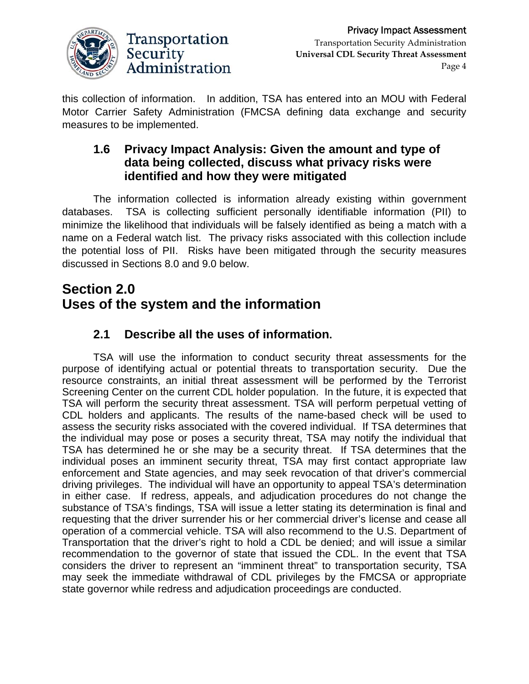

this collection of information. In addition, TSA has entered into an MOU with Federal Motor Carrier Safety Administration (FMCSA defining data exchange and security measures to be implemented.

#### **1.6 Privacy Impact Analysis: Given the amount and type of data being collected, discuss what privacy risks were identified and how they were mitigated**

The information collected is information already existing within government databases. TSA is collecting sufficient personally identifiable information (PII) to minimize the likelihood that individuals will be falsely identified as being a match with a name on a Federal watch list. The privacy risks associated with this collection include the potential loss of PII. Risks have been mitigated through the security measures discussed in Sections 8.0 and 9.0 below.

# **Section 2.0 Uses of the system and the information**

# **2.1 Describe all the uses of information.**

TSA will use the information to conduct security threat assessments for the purpose of identifying actual or potential threats to transportation security. Due the resource constraints, an initial threat assessment will be performed by the Terrorist Screening Center on the current CDL holder population. In the future, it is expected that TSA will perform the security threat assessment. TSA will perform perpetual vetting of CDL holders and applicants. The results of the name-based check will be used to assess the security risks associated with the covered individual. If TSA determines that the individual may pose or poses a security threat, TSA may notify the individual that TSA has determined he or she may be a security threat. If TSA determines that the individual poses an imminent security threat, TSA may first contact appropriate law enforcement and State agencies, and may seek revocation of that driver's commercial driving privileges. The individual will have an opportunity to appeal TSA's determination in either case. If redress, appeals, and adjudication procedures do not change the substance of TSA's findings, TSA will issue a letter stating its determination is final and requesting that the driver surrender his or her commercial driver's license and cease all operation of a commercial vehicle. TSA will also recommend to the U.S. Department of Transportation that the driver's right to hold a CDL be denied; and will issue a similar recommendation to the governor of state that issued the CDL. In the event that TSA considers the driver to represent an "imminent threat" to transportation security, TSA may seek the immediate withdrawal of CDL privileges by the FMCSA or appropriate state governor while redress and adjudication proceedings are conducted.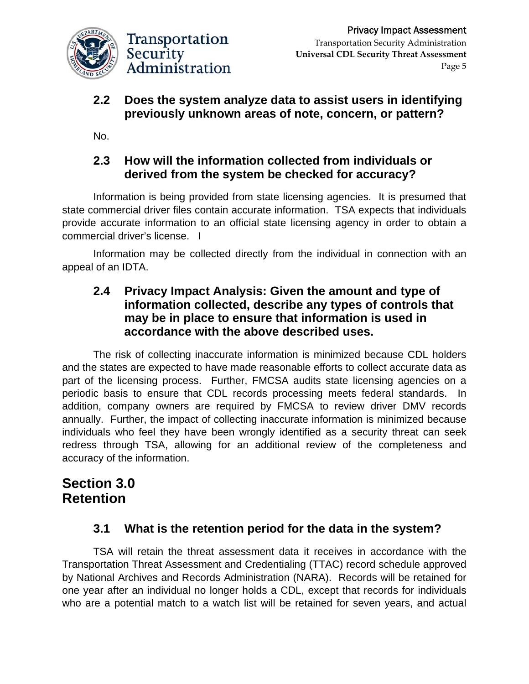

### **2.2 Does the system analyze data to assist users in identifying previously unknown areas of note, concern, or pattern?**

No.

### **2.3 How will the information collected from individuals or derived from the system be checked for accuracy?**

Information is being provided from state licensing agencies. It is presumed that state commercial driver files contain accurate information. TSA expects that individuals provide accurate information to an official state licensing agency in order to obtain a commercial driver's license. I

Information may be collected directly from the individual in connection with an appeal of an IDTA.

#### **2.4 Privacy Impact Analysis: Given the amount and type of information collected, describe any types of controls that may be in place to ensure that information is used in accordance with the above described uses.**

The risk of collecting inaccurate information is minimized because CDL holders and the states are expected to have made reasonable efforts to collect accurate data as part of the licensing process. Further, FMCSA audits state licensing agencies on a periodic basis to ensure that CDL records processing meets federal standards. In addition, company owners are required by FMCSA to review driver DMV records annually. Further, the impact of collecting inaccurate information is minimized because individuals who feel they have been wrongly identified as a security threat can seek redress through TSA, allowing for an additional review of the completeness and accuracy of the information.

# **Section 3.0 Retention**

### **3.1 What is the retention period for the data in the system?**

TSA will retain the threat assessment data it receives in accordance with the Transportation Threat Assessment and Credentialing (TTAC) record schedule approved by National Archives and Records Administration (NARA). Records will be retained for one year after an individual no longer holds a CDL, except that records for individuals who are a potential match to a watch list will be retained for seven years, and actual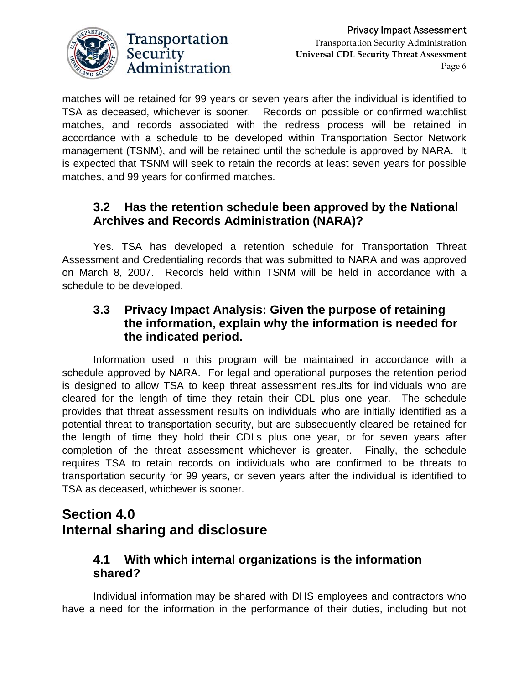

matches will be retained for 99 years or seven years after the individual is identified to TSA as deceased, whichever is sooner. Records on possible or confirmed watchlist matches, and records associated with the redress process will be retained in accordance with a schedule to be developed within Transportation Sector Network management (TSNM), and will be retained until the schedule is approved by NARA. It is expected that TSNM will seek to retain the records at least seven years for possible matches, and 99 years for confirmed matches.

### **3.2 Has the retention schedule been approved by the National Archives and Records Administration (NARA)?**

Yes. TSA has developed a retention schedule for Transportation Threat Assessment and Credentialing records that was submitted to NARA and was approved on March 8, 2007. Records held within TSNM will be held in accordance with a schedule to be developed.

#### **3.3 Privacy Impact Analysis: Given the purpose of retaining the information, explain why the information is needed for the indicated period.**

Information used in this program will be maintained in accordance with a schedule approved by NARA. For legal and operational purposes the retention period is designed to allow TSA to keep threat assessment results for individuals who are cleared for the length of time they retain their CDL plus one year. The schedule provides that threat assessment results on individuals who are initially identified as a potential threat to transportation security, but are subsequently cleared be retained for the length of time they hold their CDLs plus one year, or for seven years after completion of the threat assessment whichever is greater. Finally, the schedule requires TSA to retain records on individuals who are confirmed to be threats to transportation security for 99 years, or seven years after the individual is identified to TSA as deceased, whichever is sooner.

# **Section 4.0 Internal sharing and disclosure**

### **4.1 With which internal organizations is the information shared?**

Individual information may be shared with DHS employees and contractors who have a need for the information in the performance of their duties, including but not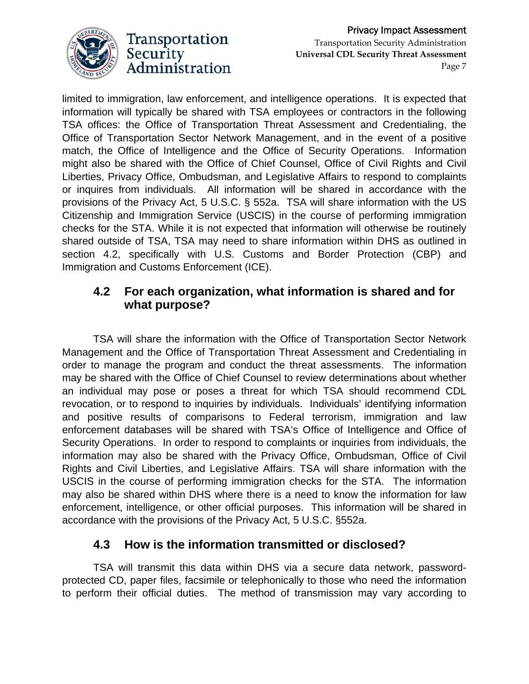

limited to immigration, law enforcement, and intelligence operations. It is expected that information will typically be shared with TSA employees or contractors in the following TSA offices: the Office of Transportation Threat Assessment and Credentialing, the Office of Transportation Sector Network Management, and in the event of a positive match, the Office of Intelligence and the Office of Security Operations. Information might also be shared with the Office of Chief Counsel, Office of Civil Rights and Civil Liberties, Privacy Office, Ombudsman, and Legislative Affairs to respond to complaints or inquires from individuals. All information will be shared in accordance with the provisions of the Privacy Act, 5 U.S.C. § 552a. TSA will share information with the US Citizenship and Immigration Service (USCIS) in the course of performing immigration checks for the STA. While it is not expected that information will otherwise be routinely shared outside of TSA, TSA may need to share information within DHS as outlined in section 4.2, specifically with U.S. Customs and Border Protection (CBP) and Immigration and Customs Enforcement (ICE).

### **4.2 For each organization, what information is shared and for what purpose?**

TSA will share the information with the Office of Transportation Sector Network Management and the Office of Transportation Threat Assessment and Credentialing in order to manage the program and conduct the threat assessments. The information may be shared with the Office of Chief Counsel to review determinations about whether an individual may pose or poses a threat for which TSA should recommend CDL revocation, or to respond to inquiries by individuals. Individuals' identifying information and positive results of comparisons to Federal terrorism, immigration and law enforcement databases will be shared with TSA's Office of Intelligence and Office of Security Operations. In order to respond to complaints or inquiries from individuals, the information may also be shared with the Privacy Office, Ombudsman, Office of Civil Rights and Civil Liberties, and Legislative Affairs. TSA will share information with the USCIS in the course of performing immigration checks for the STA. The information may also be shared within DHS where there is a need to know the information for law enforcement, intelligence, or other official purposes. This information will be shared in accordance with the provisions of the Privacy Act, 5 U.S.C. §552a.

### **4.3 How is the information transmitted or disclosed?**

TSA will transmit this data within DHS via a secure data network, passwordprotected CD, paper files, facsimile or telephonically to those who need the information to perform their official duties. The method of transmission may vary according to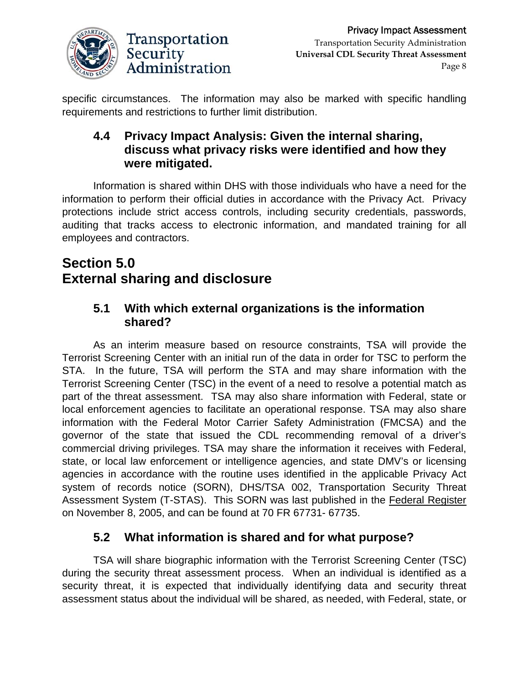

specific circumstances. The information may also be marked with specific handling requirements and restrictions to further limit distribution.

#### **4.4 Privacy Impact Analysis: Given the internal sharing, discuss what privacy risks were identified and how they were mitigated.**

Information is shared within DHS with those individuals who have a need for the information to perform their official duties in accordance with the Privacy Act. Privacy protections include strict access controls, including security credentials, passwords, auditing that tracks access to electronic information, and mandated training for all employees and contractors.

# **Section 5.0 External sharing and disclosure**

#### **5.1 With which external organizations is the information shared?**

As an interim measure based on resource constraints, TSA will provide the Terrorist Screening Center with an initial run of the data in order for TSC to perform the STA. In the future, TSA will perform the STA and may share information with the Terrorist Screening Center (TSC) in the event of a need to resolve a potential match as part of the threat assessment. TSA may also share information with Federal, state or local enforcement agencies to facilitate an operational response. TSA may also share information with the Federal Motor Carrier Safety Administration (FMCSA) and the governor of the state that issued the CDL recommending removal of a driver's commercial driving privileges. TSA may share the information it receives with Federal, state, or local law enforcement or intelligence agencies, and state DMV's or licensing agencies in accordance with the routine uses identified in the applicable Privacy Act system of records notice (SORN), DHS/TSA 002, Transportation Security Threat Assessment System (T-STAS). This SORN was last published in the Federal Register on November 8, 2005, and can be found at 70 FR 67731- 67735.

# **5.2 What information is shared and for what purpose?**

TSA will share biographic information with the Terrorist Screening Center (TSC) during the security threat assessment process. When an individual is identified as a security threat, it is expected that individually identifying data and security threat assessment status about the individual will be shared, as needed, with Federal, state, or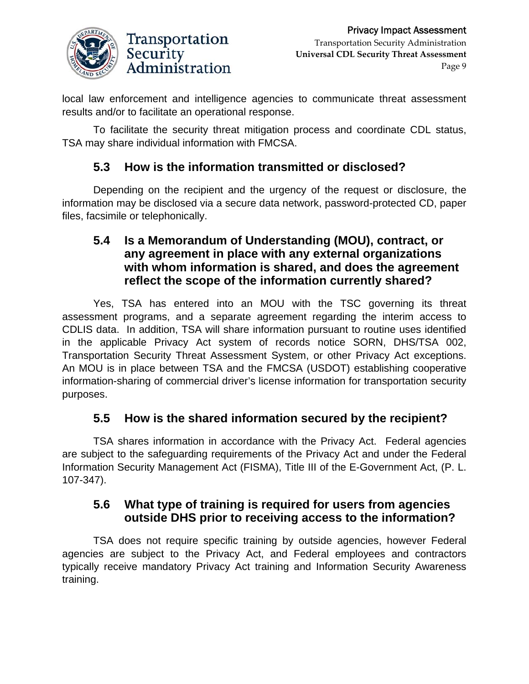

local law enforcement and intelligence agencies to communicate threat assessment results and/or to facilitate an operational response.

To facilitate the security threat mitigation process and coordinate CDL status, TSA may share individual information with FMCSA.

### **5.3 How is the information transmitted or disclosed?**

Depending on the recipient and the urgency of the request or disclosure, the information may be disclosed via a secure data network, password-protected CD, paper files, facsimile or telephonically.

#### **5.4 Is a Memorandum of Understanding (MOU), contract, or any agreement in place with any external organizations with whom information is shared, and does the agreement reflect the scope of the information currently shared?**

Yes, TSA has entered into an MOU with the TSC governing its threat assessment programs, and a separate agreement regarding the interim access to CDLIS data. In addition, TSA will share information pursuant to routine uses identified in the applicable Privacy Act system of records notice SORN, DHS/TSA 002, Transportation Security Threat Assessment System, or other Privacy Act exceptions. An MOU is in place between TSA and the FMCSA (USDOT) establishing cooperative information-sharing of commercial driver's license information for transportation security purposes.

### **5.5 How is the shared information secured by the recipient?**

TSA shares information in accordance with the Privacy Act. Federal agencies are subject to the safeguarding requirements of the Privacy Act and under the Federal Information Security Management Act (FISMA), Title III of the E-Government Act, (P. L. 107-347).

#### **5.6 What type of training is required for users from agencies outside DHS prior to receiving access to the information?**

TSA does not require specific training by outside agencies, however Federal agencies are subject to the Privacy Act, and Federal employees and contractors typically receive mandatory Privacy Act training and Information Security Awareness training.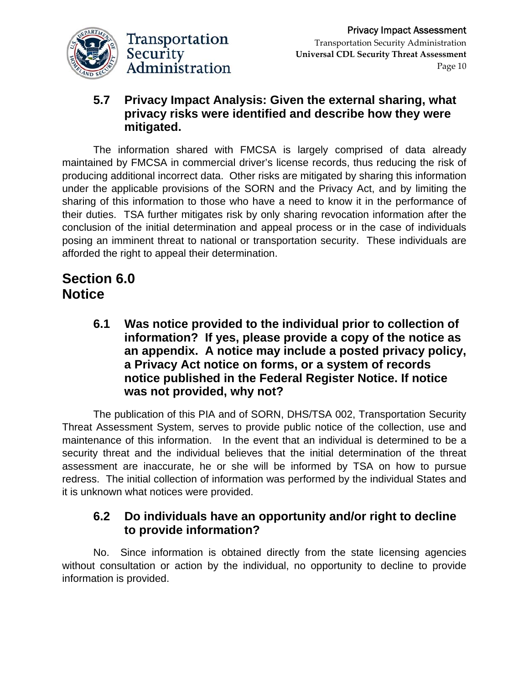

### **5.7 Privacy Impact Analysis: Given the external sharing, what privacy risks were identified and describe how they were mitigated.**

The information shared with FMCSA is largely comprised of data already maintained by FMCSA in commercial driver's license records, thus reducing the risk of producing additional incorrect data. Other risks are mitigated by sharing this information under the applicable provisions of the SORN and the Privacy Act, and by limiting the sharing of this information to those who have a need to know it in the performance of their duties. TSA further mitigates risk by only sharing revocation information after the conclusion of the initial determination and appeal process or in the case of individuals posing an imminent threat to national or transportation security. These individuals are afforded the right to appeal their determination.

# **Section 6.0 Notice**

**6.1 Was notice provided to the individual prior to collection of information? If yes, please provide a copy of the notice as an appendix. A notice may include a posted privacy policy, a Privacy Act notice on forms, or a system of records notice published in the Federal Register Notice. If notice was not provided, why not?** 

The publication of this PIA and of SORN, DHS/TSA 002, Transportation Security Threat Assessment System, serves to provide public notice of the collection, use and maintenance of this information. In the event that an individual is determined to be a security threat and the individual believes that the initial determination of the threat assessment are inaccurate, he or she will be informed by TSA on how to pursue redress. The initial collection of information was performed by the individual States and it is unknown what notices were provided.

#### **6.2 Do individuals have an opportunity and/or right to decline to provide information?**

No. Since information is obtained directly from the state licensing agencies without consultation or action by the individual, no opportunity to decline to provide information is provided.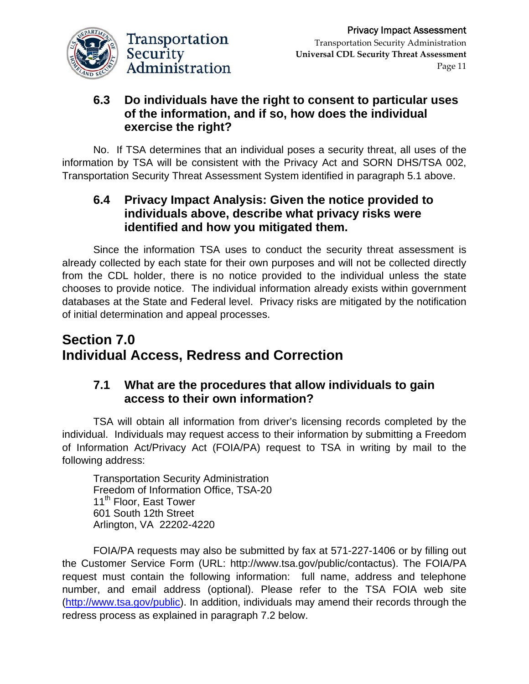

#### **6.3 Do individuals have the right to consent to particular uses of the information, and if so, how does the individual exercise the right?**

No. If TSA determines that an individual poses a security threat, all uses of the information by TSA will be consistent with the Privacy Act and SORN DHS/TSA 002, Transportation Security Threat Assessment System identified in paragraph 5.1 above.

#### **6.4 Privacy Impact Analysis: Given the notice provided to individuals above, describe what privacy risks were identified and how you mitigated them.**

Since the information TSA uses to conduct the security threat assessment is already collected by each state for their own purposes and will not be collected directly from the CDL holder, there is no notice provided to the individual unless the state chooses to provide notice. The individual information already exists within government databases at the State and Federal level. Privacy risks are mitigated by the notification of initial determination and appeal processes.

# **Section 7.0 Individual Access, Redress and Correction**

### **7.1 What are the procedures that allow individuals to gain access to their own information?**

TSA will obtain all information from driver's licensing records completed by the individual. Individuals may request access to their information by submitting a Freedom of Information Act/Privacy Act (FOIA/PA) request to TSA in writing by mail to the following address:

Transportation Security Administration Freedom of Information Office, TSA-20 11<sup>th</sup> Floor, East Tower 601 South 12th Street Arlington, VA 22202-4220

FOIA/PA requests may also be submitted by fax at 571-227-1406 or by filling out the Customer Service Form (URL: http://www.tsa.gov/public/contactus). The FOIA/PA request must contain the following information: full name, address and telephone number, and email address (optional). Please refer to the TSA FOIA web site ([http://www.tsa.gov/public\)](http://www.tsa.gov/public). In addition, individuals may amend their records through the redress process as explained in paragraph 7.2 below.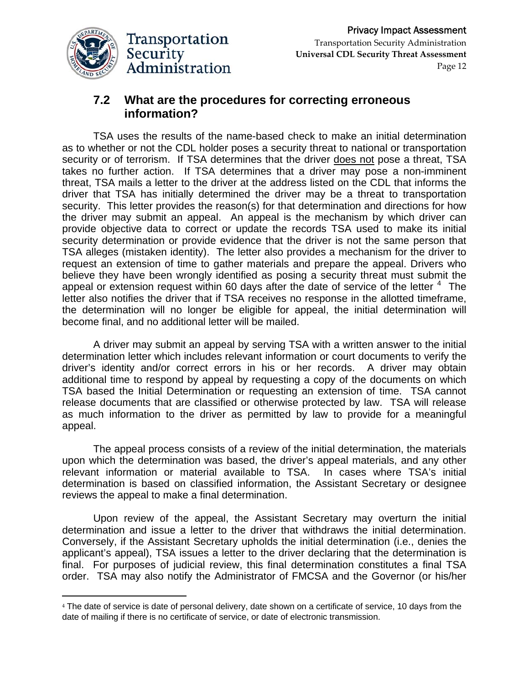

<u> 1989 - Johann Stein, marwolaethau a bhann an t-Amhair Aonaichte an t-Amhair Aonaichte an t-Amhair Aonaichte a</u>

#### **7.2 What are the procedures for correcting erroneous information?**

TSA uses the results of the name-based check to make an initial determination as to whether or not the CDL holder poses a security threat to national or transportation security or of terrorism. If TSA determines that the driver does not pose a threat, TSA takes no further action. If TSA determines that a driver may pose a non-imminent threat, TSA mails a letter to the driver at the address listed on the CDL that informs the driver that TSA has initially determined the driver may be a threat to transportation security. This letter provides the reason(s) for that determination and directions for how the driver may submit an appeal. An appeal is the mechanism by which driver can provide objective data to correct or update the records TSA used to make its initial security determination or provide evidence that the driver is not the same person that TSA alleges (mistaken identity). The letter also provides a mechanism for the driver to request an extension of time to gather materials and prepare the appeal. Drivers who believe they have been wrongly identified as posing a security threat must submit the appeal or extension request within 60 days after the date of service of the letter  $4$  The letter also notifies the driver that if TSA receives no response in the allotted timeframe, the determination will no longer be eligible for appeal, the initial determination will become final, and no additional letter will be mailed.

 A driver may submit an appeal by serving TSA with a written answer to the initial determination letter which includes relevant information or court documents to verify the driver's identity and/or correct errors in his or her records. A driver may obtain additional time to respond by appeal by requesting a copy of the documents on which TSA based the Initial Determination or requesting an extension of time. TSA cannot release documents that are classified or otherwise protected by law. TSA will release as much information to the driver as permitted by law to provide for a meaningful appeal.

 The appeal process consists of a review of the initial determination, the materials upon which the determination was based, the driver's appeal materials, and any other relevant information or material available to TSA. In cases where TSA's initial determination is based on classified information, the Assistant Secretary or designee reviews the appeal to make a final determination.

 Upon review of the appeal, the Assistant Secretary may overturn the initial determination and issue a letter to the driver that withdraws the initial determination. Conversely, if the Assistant Secretary upholds the initial determination (i.e., denies the applicant's appeal), TSA issues a letter to the driver declaring that the determination is final. For purposes of judicial review, this final determination constitutes a final TSA order. TSA may also notify the Administrator of FMCSA and the Governor (or his/her

<span id="page-11-0"></span><sup>4</sup> The date of service is date of personal delivery, date shown on a certificate of service, 10 days from the date of mailing if there is no certificate of service, or date of electronic transmission.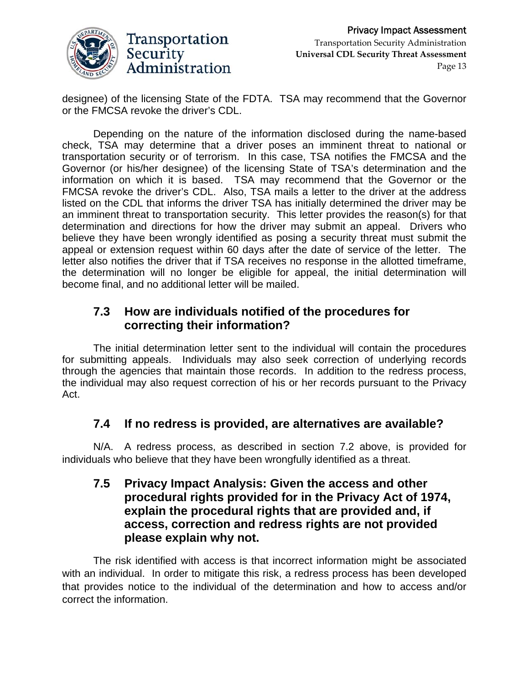

designee) of the licensing State of the FDTA. TSA may recommend that the Governor or the FMCSA revoke the driver's CDL.

 Depending on the nature of the information disclosed during the name-based check, TSA may determine that a driver poses an imminent threat to national or transportation security or of terrorism. In this case, TSA notifies the FMCSA and the Governor (or his/her designee) of the licensing State of TSA's determination and the information on which it is based. TSA may recommend that the Governor or the FMCSA revoke the driver's CDL. Also, TSA mails a letter to the driver at the address listed on the CDL that informs the driver TSA has initially determined the driver may be an imminent threat to transportation security. This letter provides the reason(s) for that determination and directions for how the driver may submit an appeal. Drivers who believe they have been wrongly identified as posing a security threat must submit the appeal or extension request within 60 days after the date of service of the letter. The letter also notifies the driver that if TSA receives no response in the allotted timeframe, the determination will no longer be eligible for appeal, the initial determination will become final, and no additional letter will be mailed.

#### **7.3 How are individuals notified of the procedures for correcting their information?**

 The initial determination letter sent to the individual will contain the procedures for submitting appeals. Individuals may also seek correction of underlying records through the agencies that maintain those records. In addition to the redress process, the individual may also request correction of his or her records pursuant to the Privacy Act.

### **7.4 If no redress is provided, are alternatives are available?**

N/A. A redress process, as described in section 7.2 above, is provided for individuals who believe that they have been wrongfully identified as a threat.

#### **7.5 Privacy Impact Analysis: Given the access and other procedural rights provided for in the Privacy Act of 1974, explain the procedural rights that are provided and, if access, correction and redress rights are not provided please explain why not.**

The risk identified with access is that incorrect information might be associated with an individual. In order to mitigate this risk, a redress process has been developed that provides notice to the individual of the determination and how to access and/or correct the information.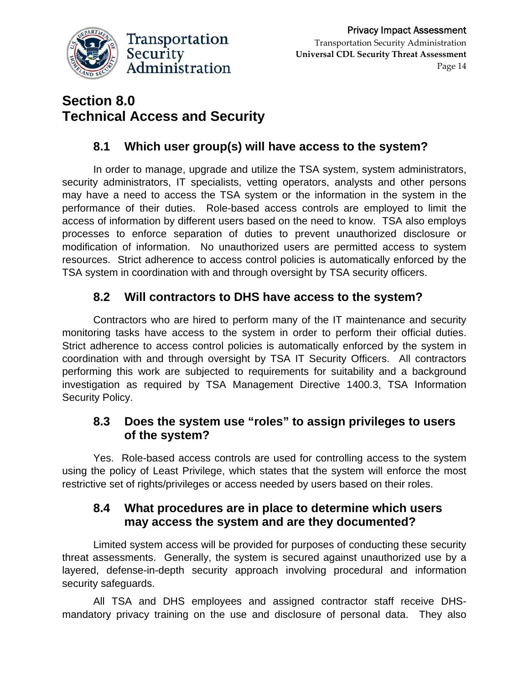

#### Transportation Security Administration **Universal CDL Security Threat Assessment**  Page 14

# **Section 8.0 Technical Access and Security**

# **8.1 Which user group(s) will have access to the system?**

In order to manage, upgrade and utilize the TSA system, system administrators, security administrators, IT specialists, vetting operators, analysts and other persons may have a need to access the TSA system or the information in the system in the performance of their duties. Role-based access controls are employed to limit the access of information by different users based on the need to know. TSA also employs processes to enforce separation of duties to prevent unauthorized disclosure or modification of information. No unauthorized users are permitted access to system resources. Strict adherence to access control policies is automatically enforced by the TSA system in coordination with and through oversight by TSA security officers.

# **8.2 Will contractors to DHS have access to the system?**

Contractors who are hired to perform many of the IT maintenance and security monitoring tasks have access to the system in order to perform their official duties. Strict adherence to access control policies is automatically enforced by the system in coordination with and through oversight by TSA IT Security Officers. All contractors performing this work are subjected to requirements for suitability and a background investigation as required by TSA Management Directive 1400.3, TSA Information Security Policy.

### **8.3 Does the system use "roles" to assign privileges to users of the system?**

Yes. Role-based access controls are used for controlling access to the system using the policy of Least Privilege, which states that the system will enforce the most restrictive set of rights/privileges or access needed by users based on their roles.

### **8.4 What procedures are in place to determine which users may access the system and are they documented?**

Limited system access will be provided for purposes of conducting these security threat assessments. Generally, the system is secured against unauthorized use by a layered, defense-in-depth security approach involving procedural and information security safeguards.

All TSA and DHS employees and assigned contractor staff receive DHSmandatory privacy training on the use and disclosure of personal data. They also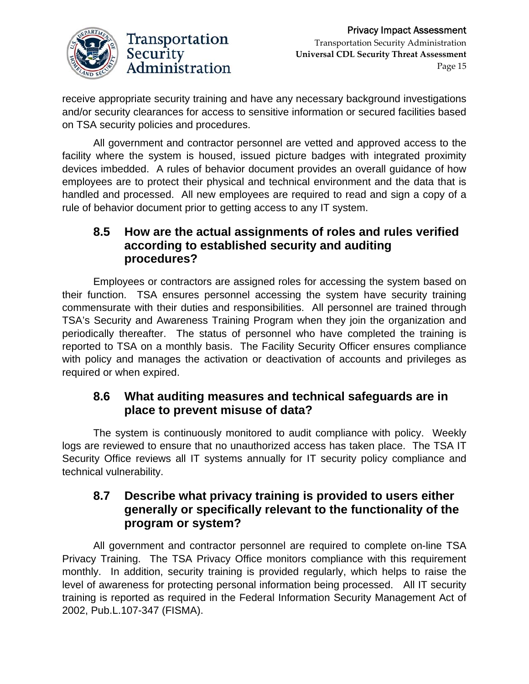

receive appropriate security training and have any necessary background investigations and/or security clearances for access to sensitive information or secured facilities based on TSA security policies and procedures.

All government and contractor personnel are vetted and approved access to the facility where the system is housed, issued picture badges with integrated proximity devices imbedded. A rules of behavior document provides an overall guidance of how employees are to protect their physical and technical environment and the data that is handled and processed. All new employees are required to read and sign a copy of a rule of behavior document prior to getting access to any IT system.

### **8.5 How are the actual assignments of roles and rules verified according to established security and auditing procedures?**

Employees or contractors are assigned roles for accessing the system based on their function. TSA ensures personnel accessing the system have security training commensurate with their duties and responsibilities. All personnel are trained through TSA's Security and Awareness Training Program when they join the organization and periodically thereafter. The status of personnel who have completed the training is reported to TSA on a monthly basis. The Facility Security Officer ensures compliance with policy and manages the activation or deactivation of accounts and privileges as required or when expired.

#### **8.6 What auditing measures and technical safeguards are in place to prevent misuse of data?**

The system is continuously monitored to audit compliance with policy. Weekly logs are reviewed to ensure that no unauthorized access has taken place. The TSA IT Security Office reviews all IT systems annually for IT security policy compliance and technical vulnerability.

#### **8.7 Describe what privacy training is provided to users either generally or specifically relevant to the functionality of the program or system?**

All government and contractor personnel are required to complete on-line TSA Privacy Training. The TSA Privacy Office monitors compliance with this requirement monthly. In addition, security training is provided regularly, which helps to raise the level of awareness for protecting personal information being processed. All IT security training is reported as required in the Federal Information Security Management Act of 2002, Pub.L.107-347 (FISMA).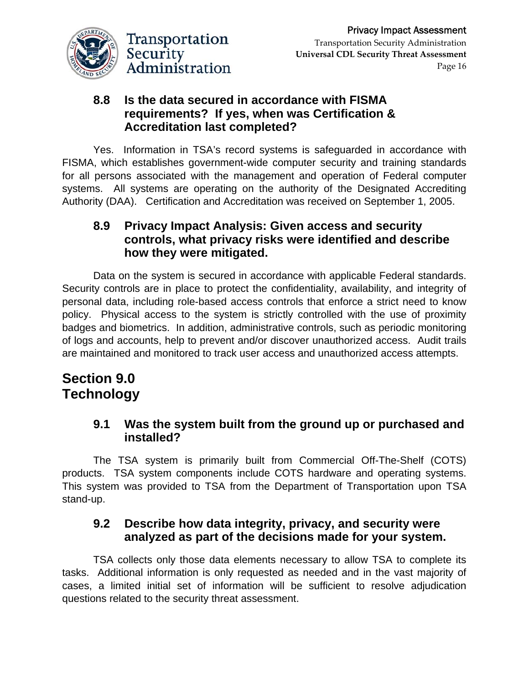

#### **8.8 Is the data secured in accordance with FISMA requirements? If yes, when was Certification & Accreditation last completed?**

Yes. Information in TSA's record systems is safeguarded in accordance with FISMA, which establishes government-wide computer security and training standards for all persons associated with the management and operation of Federal computer systems. All systems are operating on the authority of the Designated Accrediting Authority (DAA). Certification and Accreditation was received on September 1, 2005.

#### **8.9 Privacy Impact Analysis: Given access and security controls, what privacy risks were identified and describe how they were mitigated.**

Data on the system is secured in accordance with applicable Federal standards. Security controls are in place to protect the confidentiality, availability, and integrity of personal data, including role-based access controls that enforce a strict need to know policy. Physical access to the system is strictly controlled with the use of proximity badges and biometrics. In addition, administrative controls, such as periodic monitoring of logs and accounts, help to prevent and/or discover unauthorized access. Audit trails are maintained and monitored to track user access and unauthorized access attempts.

# **Section 9.0 Technology**

#### **9.1 Was the system built from the ground up or purchased and installed?**

The TSA system is primarily built from Commercial Off-The-Shelf (COTS) products. TSA system components include COTS hardware and operating systems. This system was provided to TSA from the Department of Transportation upon TSA stand-up.

#### **9.2 Describe how data integrity, privacy, and security were analyzed as part of the decisions made for your system.**

TSA collects only those data elements necessary to allow TSA to complete its tasks. Additional information is only requested as needed and in the vast majority of cases, a limited initial set of information will be sufficient to resolve adjudication questions related to the security threat assessment.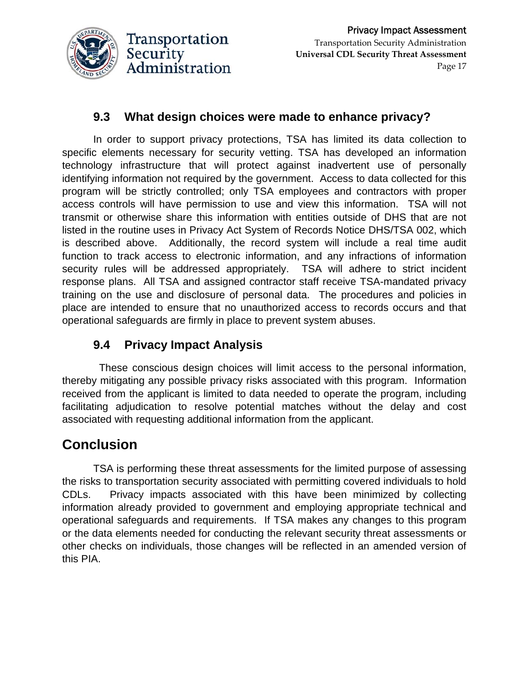

# **9.3 What design choices were made to enhance privacy?**

In order to support privacy protections, TSA has limited its data collection to specific elements necessary for security vetting. TSA has developed an information technology infrastructure that will protect against inadvertent use of personally identifying information not required by the government. Access to data collected for this program will be strictly controlled; only TSA employees and contractors with proper access controls will have permission to use and view this information. TSA will not transmit or otherwise share this information with entities outside of DHS that are not listed in the routine uses in Privacy Act System of Records Notice DHS/TSA 002, which is described above. Additionally, the record system will include a real time audit function to track access to electronic information, and any infractions of information security rules will be addressed appropriately. TSA will adhere to strict incident response plans. All TSA and assigned contractor staff receive TSA-mandated privacy training on the use and disclosure of personal data. The procedures and policies in place are intended to ensure that no unauthorized access to records occurs and that operational safeguards are firmly in place to prevent system abuses.

# **9.4 Privacy Impact Analysis**

These conscious design choices will limit access to the personal information, thereby mitigating any possible privacy risks associated with this program. Information received from the applicant is limited to data needed to operate the program, including facilitating adjudication to resolve potential matches without the delay and cost associated with requesting additional information from the applicant.

# **Conclusion**

TSA is performing these threat assessments for the limited purpose of assessing the risks to transportation security associated with permitting covered individuals to hold CDLs. Privacy impacts associated with this have been minimized by collecting information already provided to government and employing appropriate technical and operational safeguards and requirements. If TSA makes any changes to this program or the data elements needed for conducting the relevant security threat assessments or other checks on individuals, those changes will be reflected in an amended version of this PIA.